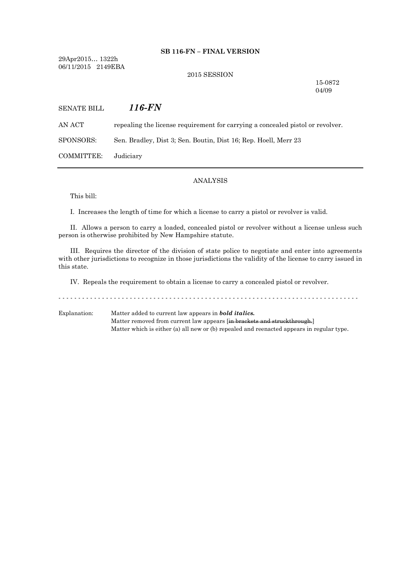## **SB 116-FN – FINAL VERSION**

29Apr2015… 1322h 06/11/2015 2149EBA

#### 2015 SESSION

15-0872 04/09

| <b>SENATE BILL</b> | 116-FN                                                                         |
|--------------------|--------------------------------------------------------------------------------|
| AN ACT-            | repealing the license requirement for carrying a concealed pistol or revolver. |
| SPONSORS:          | Sen. Bradley, Dist 3; Sen. Boutin, Dist 16; Rep. Hoell, Merr 23                |
| COMMITTEE:         | Judiciary                                                                      |

## ANALYSIS

This bill:

I. Increases the length of time for which a license to carry a pistol or revolver is valid.

II. Allows a person to carry a loaded, concealed pistol or revolver without a license unless such person is otherwise prohibited by New Hampshire statute.

III. Requires the director of the division of state police to negotiate and enter into agreements with other jurisdictions to recognize in those jurisdictions the validity of the license to carry issued in this state.

IV. Repeals the requirement to obtain a license to carry a concealed pistol or revolver.

Explanation: Matter added to current law appears in *bold italics.* Matter removed from current law appears [in brackets and struckthrough.] Matter which is either (a) all new or (b) repealed and reenacted appears in regular type.

- - - - - - - - - - - - - - - - - - - - - - - - - - - - - - - - - - - - - - - - - - - - - - - - - - - - - - - - - - - - - - - - - - - - - - - - - - - -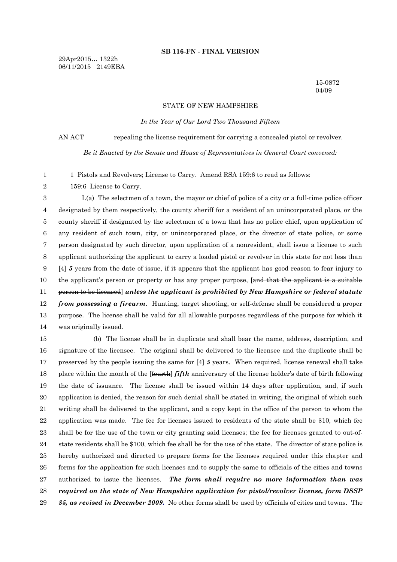#### **SB 116-FN - FINAL VERSION**

29Apr2015… 1322h 06/11/2015 2149EBA

> 15-0872 04/09

### STATE OF NEW HAMPSHIRE

*In the Year of Our Lord Two Thousand Fifteen*

AN ACT repealing the license requirement for carrying a concealed pistol or revolver.

*Be it Enacted by the Senate and House of Representatives in General Court convened:*

1 Pistols and Revolvers; License to Carry. Amend RSA 159:6 to read as follows:

159:6 License to Carry.

 I.(a) The selectmen of a town, the mayor or chief of police of a city or a full-time police officer designated by them respectively, the county sheriff for a resident of an unincorporated place, or the county sheriff if designated by the selectmen of a town that has no police chief, upon application of any resident of such town, city, or unincorporated place, or the director of state police, or some person designated by such director, upon application of a nonresident, shall issue a license to such applicant authorizing the applicant to carry a loaded pistol or revolver in this state for not less than [4] *5* years from the date of issue, if it appears that the applicant has good reason to fear injury to 10 the applicant's person or property or has any proper purpose, [and that the applicant is a suitable person to be licensed] *unless the applicant is prohibited by New Hampshire or federal statute from possessing a firearm*. Hunting, target shooting, or self-defense shall be considered a proper purpose. The license shall be valid for all allowable purposes regardless of the purpose for which it was originally issued.

 (b) The license shall be in duplicate and shall bear the name, address, description, and signature of the licensee. The original shall be delivered to the licensee and the duplicate shall be preserved by the people issuing the same for [4] *5* years. When required, license renewal shall take place within the month of the [fourth] *fifth* anniversary of the license holder's date of birth following the date of issuance. The license shall be issued within 14 days after application, and, if such application is denied, the reason for such denial shall be stated in writing, the original of which such writing shall be delivered to the applicant, and a copy kept in the office of the person to whom the application was made. The fee for licenses issued to residents of the state shall be \$10, which fee shall be for the use of the town or city granting said licenses; the fee for licenses granted to out-of- state residents shall be \$100, which fee shall be for the use of the state. The director of state police is hereby authorized and directed to prepare forms for the licenses required under this chapter and forms for the application for such licenses and to supply the same to officials of the cities and towns authorized to issue the licenses. *The form shall require no more information than was required on the state of New Hampshire application for pistol/revolver license, form DSSP 85, as revised in December 2009.* No other forms shall be used by officials of cities and towns. The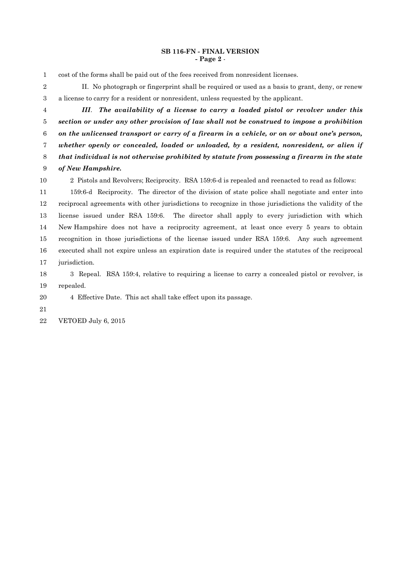## **SB 116-FN - FINAL VERSION - Page 2** -

- cost of the forms shall be paid out of the fees received from nonresident licenses.
- II. No photograph or fingerprint shall be required or used as a basis to grant, deny, or renew a license to carry for a resident or nonresident, unless requested by the applicant.
- *III*. *The availability of a license to carry a loaded pistol or revolver under this section or under any other provision of law shall not be construed to impose a prohibition on the unlicensed transport or carry of a firearm in a vehicle, or on or about one's person, whether openly or concealed, loaded or unloaded, by a resident, nonresident, or alien if that individual is not otherwise prohibited by statute from possessing a firearm in the state of New Hampshire.* 2 Pistols and Revolvers; Reciprocity. RSA 159:6-d is repealed and reenacted to read as follows: 159:6-d Reciprocity. The director of the division of state police shall negotiate and enter into reciprocal agreements with other jurisdictions to recognize in those jurisdictions the validity of the license issued under RSA 159:6. The director shall apply to every jurisdiction with which

 New Hampshire does not have a reciprocity agreement, at least once every 5 years to obtain recognition in those jurisdictions of the license issued under RSA 159:6. Any such agreement executed shall not expire unless an expiration date is required under the statutes of the reciprocal jurisdiction.

 3 Repeal. RSA 159:4, relative to requiring a license to carry a concealed pistol or revolver, is repealed.

# 4 Effective Date. This act shall take effect upon its passage.

VETOED July 6, 2015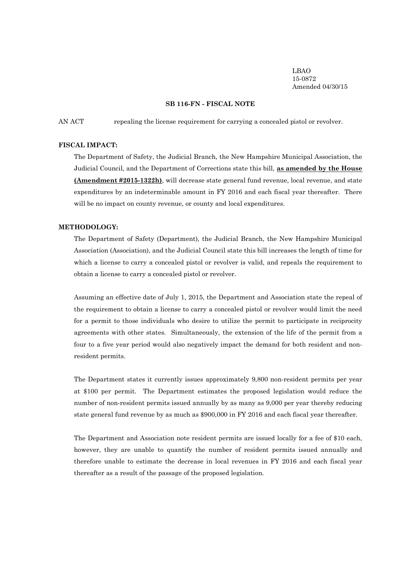LBAO 15-0872 Amended 04/30/15

## **SB 116-FN - FISCAL NOTE**

AN ACT repealing the license requirement for carrying a concealed pistol or revolver.

#### **FISCAL IMPACT:**

The Department of Safety, the Judicial Branch, the New Hampshire Municipal Association, the Judicial Council, and the Department of Corrections state this bill, **as amended by the House (Amendment #2015-1322h)**, will decrease state general fund revenue, local revenue, and state expenditures by an indeterminable amount in FY 2016 and each fiscal year thereafter. There will be no impact on county revenue, or county and local expenditures.

## **METHODOLOGY:**

The Department of Safety (Department), the Judicial Branch, the New Hampshire Municipal Association (Association), and the Judicial Council state this bill increases the length of time for which a license to carry a concealed pistol or revolver is valid, and repeals the requirement to obtain a license to carry a concealed pistol or revolver.

Assuming an effective date of July 1, 2015, the Department and Association state the repeal of the requirement to obtain a license to carry a concealed pistol or revolver would limit the need for a permit to those individuals who desire to utilize the permit to participate in reciprocity agreements with other states. Simultaneously, the extension of the life of the permit from a four to a five year period would also negatively impact the demand for both resident and nonresident permits.

The Department states it currently issues approximately 9,800 non-resident permits per year at \$100 per permit. The Department estimates the proposed legislation would reduce the number of non-resident permits issued annually by as many as 9,000 per year thereby reducing state general fund revenue by as much as \$900,000 in FY 2016 and each fiscal year thereafter.

The Department and Association note resident permits are issued locally for a fee of \$10 each, however, they are unable to quantify the number of resident permits issued annually and therefore unable to estimate the decrease in local revenues in FY 2016 and each fiscal year thereafter as a result of the passage of the proposed legislation.